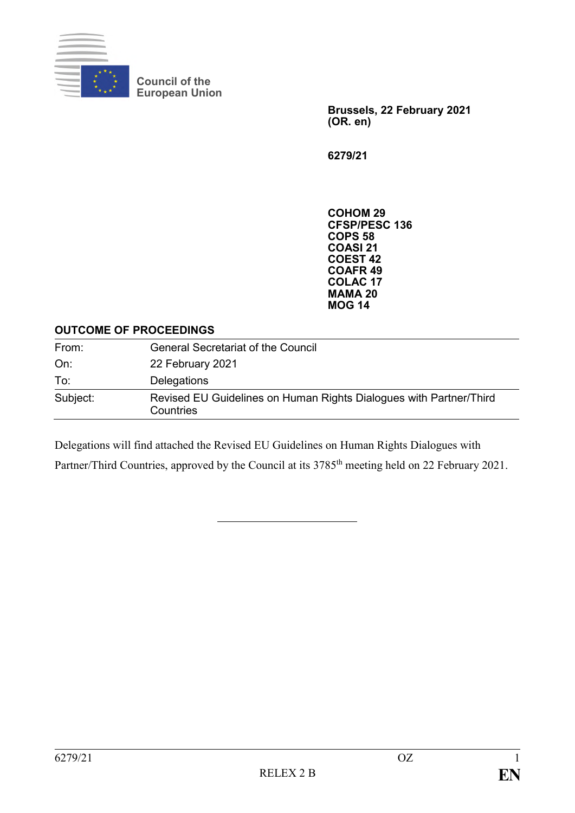

**Council of the European Union**

> **Brussels, 22 February 2021 (OR. en)**

**6279/21**

**COHOM 29 CFSP/PESC 136 COPS 58 COASI 21 COEST 42 COAFR 49 COLAC 17 MAMA 20 MOG 14**

#### **OUTCOME OF PROCEEDINGS**

| From:    | <b>General Secretariat of the Council</b>                                       |
|----------|---------------------------------------------------------------------------------|
| On:      | 22 February 2021                                                                |
| To:      | Delegations                                                                     |
| Subject: | Revised EU Guidelines on Human Rights Dialogues with Partner/Third<br>Countries |

Delegations will find attached the Revised EU Guidelines on Human Rights Dialogues with

Partner/Third Countries, approved by the Council at its 3785<sup>th</sup> meeting held on 22 February 2021.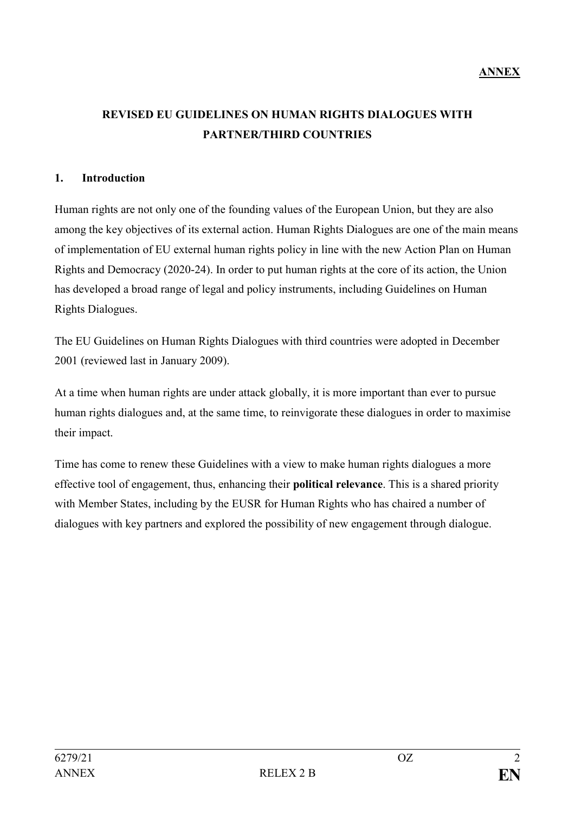# **REVISED EU GUIDELINES ON HUMAN RIGHTS DIALOGUES WITH PARTNER/THIRD COUNTRIES**

### **1. Introduction**

Human rights are not only one of the founding values of the European Union, but they are also among the key objectives of its external action. Human Rights Dialogues are one of the main means of implementation of EU external human rights policy in line with the new Action Plan on Human Rights and Democracy (2020-24). In order to put human rights at the core of its action, the Union has developed a broad range of legal and policy instruments, including Guidelines on Human Rights Dialogues.

The EU Guidelines on Human Rights Dialogues with third countries were adopted in December 2001 (reviewed last in January 2009).

At a time when human rights are under attack globally, it is more important than ever to pursue human rights dialogues and, at the same time, to reinvigorate these dialogues in order to maximise their impact.

Time has come to renew these Guidelines with a view to make human rights dialogues a more effective tool of engagement, thus, enhancing their **political relevance**. This is a shared priority with Member States, including by the EUSR for Human Rights who has chaired a number of dialogues with key partners and explored the possibility of new engagement through dialogue.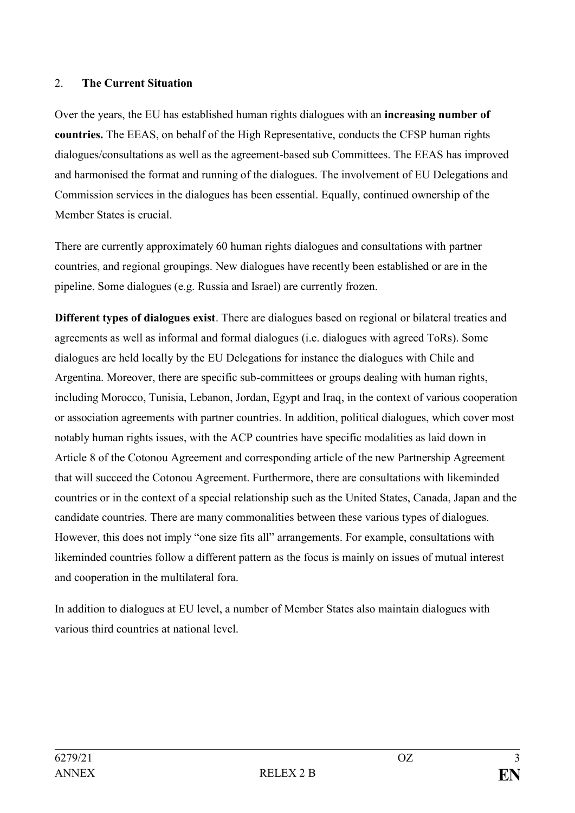### 2. **The Current Situation**

Over the years, the EU has established human rights dialogues with an **increasing number of countries.** The EEAS, on behalf of the High Representative, conducts the CFSP human rights dialogues/consultations as well as the agreement-based sub Committees. The EEAS has improved and harmonised the format and running of the dialogues. The involvement of EU Delegations and Commission services in the dialogues has been essential. Equally, continued ownership of the Member States is crucial.

There are currently approximately 60 human rights dialogues and consultations with partner countries, and regional groupings. New dialogues have recently been established or are in the pipeline. Some dialogues (e.g. Russia and Israel) are currently frozen.

**Different types of dialogues exist**. There are dialogues based on regional or bilateral treaties and agreements as well as informal and formal dialogues (i.e. dialogues with agreed ToRs). Some dialogues are held locally by the EU Delegations for instance the dialogues with Chile and Argentina. Moreover, there are specific sub-committees or groups dealing with human rights, including Morocco, Tunisia, Lebanon, Jordan, Egypt and Iraq, in the context of various cooperation or association agreements with partner countries. In addition, political dialogues, which cover most notably human rights issues, with the ACP countries have specific modalities as laid down in Article 8 of the Cotonou Agreement and corresponding article of the new Partnership Agreement that will succeed the Cotonou Agreement. Furthermore, there are consultations with likeminded countries or in the context of a special relationship such as the United States, Canada, Japan and the candidate countries. There are many commonalities between these various types of dialogues. However, this does not imply "one size fits all" arrangements. For example, consultations with likeminded countries follow a different pattern as the focus is mainly on issues of mutual interest and cooperation in the multilateral fora.

In addition to dialogues at EU level, a number of Member States also maintain dialogues with various third countries at national level.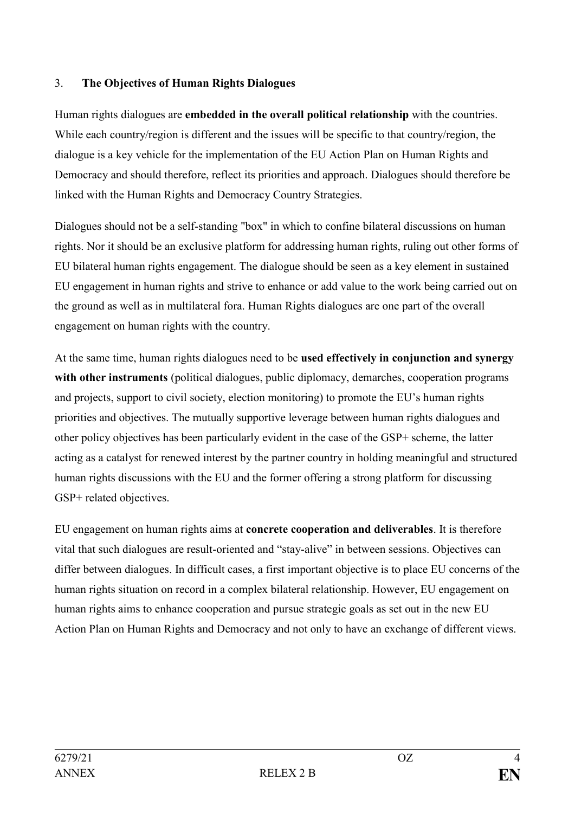## 3. **The Objectives of Human Rights Dialogues**

Human rights dialogues are **embedded in the overall political relationship** with the countries. While each country/region is different and the issues will be specific to that country/region, the dialogue is a key vehicle for the implementation of the EU Action Plan on Human Rights and Democracy and should therefore, reflect its priorities and approach. Dialogues should therefore be linked with the Human Rights and Democracy Country Strategies.

Dialogues should not be a self-standing "box" in which to confine bilateral discussions on human rights. Nor it should be an exclusive platform for addressing human rights, ruling out other forms of EU bilateral human rights engagement. The dialogue should be seen as a key element in sustained EU engagement in human rights and strive to enhance or add value to the work being carried out on the ground as well as in multilateral fora. Human Rights dialogues are one part of the overall engagement on human rights with the country.

At the same time, human rights dialogues need to be **used effectively in conjunction and synergy with other instruments** (political dialogues, public diplomacy, demarches, cooperation programs and projects, support to civil society, election monitoring) to promote the EU's human rights priorities and objectives. The mutually supportive leverage between human rights dialogues and other policy objectives has been particularly evident in the case of the GSP+ scheme, the latter acting as a catalyst for renewed interest by the partner country in holding meaningful and structured human rights discussions with the EU and the former offering a strong platform for discussing GSP+ related objectives.

EU engagement on human rights aims at **concrete cooperation and deliverables**. It is therefore vital that such dialogues are result-oriented and "stay-alive" in between sessions. Objectives can differ between dialogues. In difficult cases, a first important objective is to place EU concerns of the human rights situation on record in a complex bilateral relationship. However, EU engagement on human rights aims to enhance cooperation and pursue strategic goals as set out in the new EU Action Plan on Human Rights and Democracy and not only to have an exchange of different views.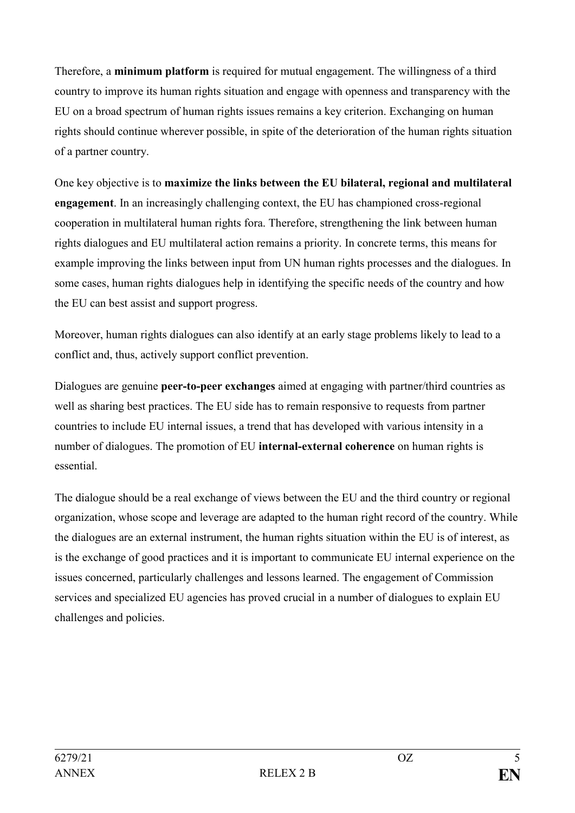Therefore, a **minimum platform** is required for mutual engagement. The willingness of a third country to improve its human rights situation and engage with openness and transparency with the EU on a broad spectrum of human rights issues remains a key criterion. Exchanging on human rights should continue wherever possible, in spite of the deterioration of the human rights situation of a partner country.

One key objective is to **maximize the links between the EU bilateral, regional and multilateral engagement**. In an increasingly challenging context, the EU has championed cross-regional cooperation in multilateral human rights fora. Therefore, strengthening the link between human rights dialogues and EU multilateral action remains a priority. In concrete terms, this means for example improving the links between input from UN human rights processes and the dialogues. In some cases, human rights dialogues help in identifying the specific needs of the country and how the EU can best assist and support progress.

Moreover, human rights dialogues can also identify at an early stage problems likely to lead to a conflict and, thus, actively support conflict prevention.

Dialogues are genuine **peer-to-peer exchanges** aimed at engaging with partner/third countries as well as sharing best practices. The EU side has to remain responsive to requests from partner countries to include EU internal issues, a trend that has developed with various intensity in a number of dialogues. The promotion of EU **internal-external coherence** on human rights is essential.

The dialogue should be a real exchange of views between the EU and the third country or regional organization, whose scope and leverage are adapted to the human right record of the country. While the dialogues are an external instrument, the human rights situation within the EU is of interest, as is the exchange of good practices and it is important to communicate EU internal experience on the issues concerned, particularly challenges and lessons learned. The engagement of Commission services and specialized EU agencies has proved crucial in a number of dialogues to explain EU challenges and policies.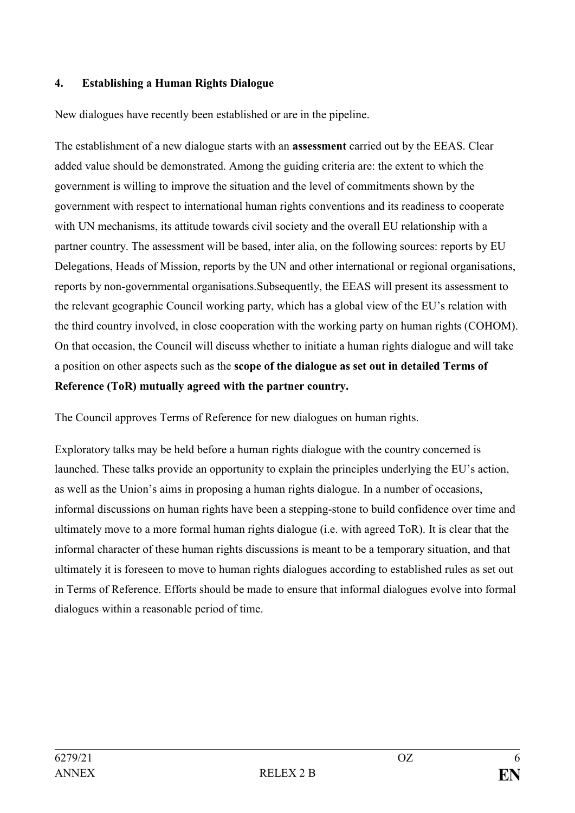### **4. Establishing a Human Rights Dialogue**

New dialogues have recently been established or are in the pipeline.

The establishment of a new dialogue starts with an **assessment** carried out by the EEAS. Clear added value should be demonstrated. Among the guiding criteria are: the extent to which the government is willing to improve the situation and the level of commitments shown by the government with respect to international human rights conventions and its readiness to cooperate with UN mechanisms, its attitude towards civil society and the overall EU relationship with a partner country. The assessment will be based, inter alia, on the following sources: reports by EU Delegations, Heads of Mission, reports by the UN and other international or regional organisations, reports by non-governmental organisations.Subsequently, the EEAS will present its assessment to the relevant geographic Council working party, which has a global view of the EU's relation with the third country involved, in close cooperation with the working party on human rights (COHOM). On that occasion, the Council will discuss whether to initiate a human rights dialogue and will take a position on other aspects such as the **scope of the dialogue as set out in detailed Terms of Reference (ToR) mutually agreed with the partner country.**

The Council approves Terms of Reference for new dialogues on human rights.

Exploratory talks may be held before a human rights dialogue with the country concerned is launched. These talks provide an opportunity to explain the principles underlying the EU's action, as well as the Union's aims in proposing a human rights dialogue. In a number of occasions, informal discussions on human rights have been a stepping-stone to build confidence over time and ultimately move to a more formal human rights dialogue (i.e. with agreed ToR). It is clear that the informal character of these human rights discussions is meant to be a temporary situation, and that ultimately it is foreseen to move to human rights dialogues according to established rules as set out in Terms of Reference. Efforts should be made to ensure that informal dialogues evolve into formal dialogues within a reasonable period of time.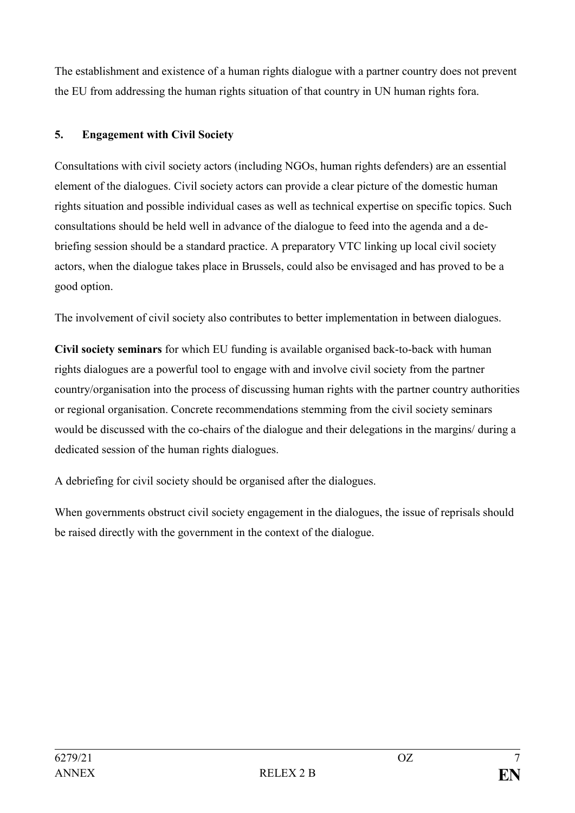The establishment and existence of a human rights dialogue with a partner country does not prevent the EU from addressing the human rights situation of that country in UN human rights fora.

## **5. Engagement with Civil Society**

Consultations with civil society actors (including NGOs, human rights defenders) are an essential element of the dialogues. Civil society actors can provide a clear picture of the domestic human rights situation and possible individual cases as well as technical expertise on specific topics. Such consultations should be held well in advance of the dialogue to feed into the agenda and a debriefing session should be a standard practice. A preparatory VTC linking up local civil society actors, when the dialogue takes place in Brussels, could also be envisaged and has proved to be a good option.

The involvement of civil society also contributes to better implementation in between dialogues.

**Civil society seminars** for which EU funding is available organised back-to-back with human rights dialogues are a powerful tool to engage with and involve civil society from the partner country/organisation into the process of discussing human rights with the partner country authorities or regional organisation. Concrete recommendations stemming from the civil society seminars would be discussed with the co-chairs of the dialogue and their delegations in the margins/ during a dedicated session of the human rights dialogues.

A debriefing for civil society should be organised after the dialogues.

When governments obstruct civil society engagement in the dialogues, the issue of reprisals should be raised directly with the government in the context of the dialogue.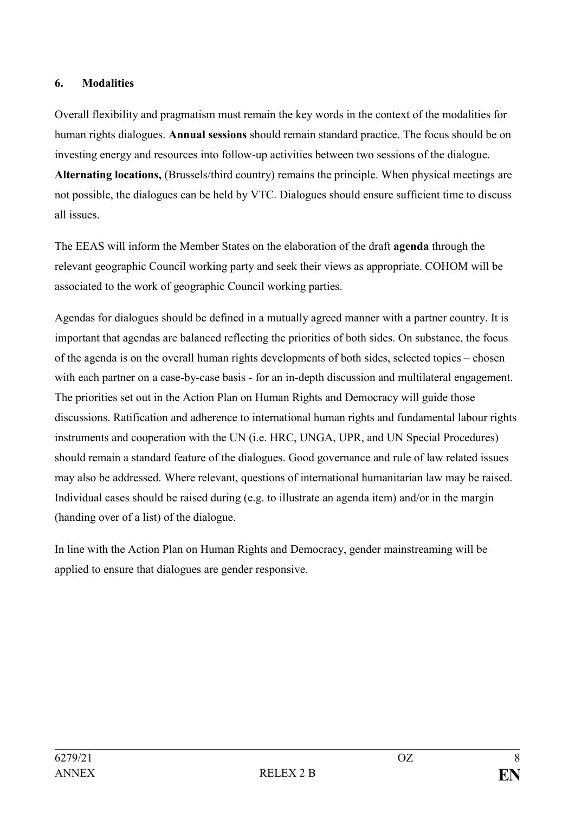## **6. Modalities**

Overall flexibility and pragmatism must remain the key words in the context of the modalities for human rights dialogues. **Annual sessions** should remain standard practice. The focus should be on investing energy and resources into follow-up activities between two sessions of the dialogue.

**Alternating locations,** (Brussels/third country) remains the principle. When physical meetings are not possible, the dialogues can be held by VTC. Dialogues should ensure sufficient time to discuss all issues.

The EEAS will inform the Member States on the elaboration of the draft **agenda** through the relevant geographic Council working party and seek their views as appropriate. COHOM will be associated to the work of geographic Council working parties.

Agendas for dialogues should be defined in a mutually agreed manner with a partner country. It is important that agendas are balanced reflecting the priorities of both sides. On substance, the focus of the agenda is on the overall human rights developments of both sides, selected topics – chosen with each partner on a case-by-case basis - for an in-depth discussion and multilateral engagement. The priorities set out in the Action Plan on Human Rights and Democracy will guide those discussions. Ratification and adherence to international human rights and fundamental labour rights instruments and cooperation with the UN (i.e. HRC, UNGA, UPR, and UN Special Procedures) should remain a standard feature of the dialogues. Good governance and rule of law related issues may also be addressed. Where relevant, questions of international humanitarian law may be raised. Individual cases should be raised during (e.g. to illustrate an agenda item) and/or in the margin (handing over of a list) of the dialogue.

In line with the Action Plan on Human Rights and Democracy, gender mainstreaming will be applied to ensure that dialogues are gender responsive.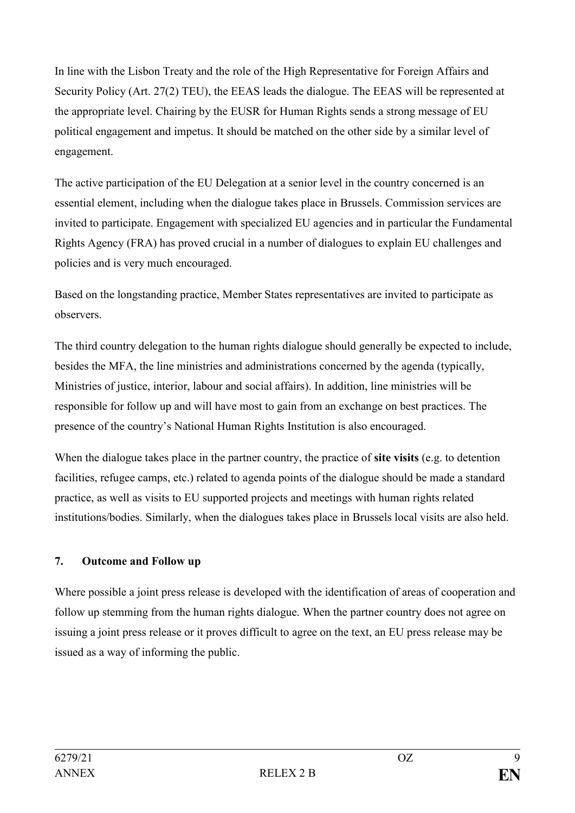In line with the Lisbon Treaty and the role of the High Representative for Foreign Affairs and Security Policy (Art. 27(2) TEU), the EEAS leads the dialogue. The EEAS will be represented at the appropriate level. Chairing by the EUSR for Human Rights sends a strong message of EU political engagement and impetus. It should be matched on the other side by a similar level of engagement.

The active participation of the EU Delegation at a senior level in the country concerned is an essential element, including when the dialogue takes place in Brussels. Commission services are invited to participate. Engagement with specialized EU agencies and in particular the Fundamental Rights Agency (FRA) has proved crucial in a number of dialogues to explain EU challenges and policies and is very much encouraged.

Based on the longstanding practice, Member States representatives are invited to participate as observers.

The third country delegation to the human rights dialogue should generally be expected to include, besides the MFA, the line ministries and administrations concerned by the agenda (typically, Ministries of justice, interior, labour and social affairs). In addition, line ministries will be responsible for follow up and will have most to gain from an exchange on best practices. The presence of the country's National Human Rights Institution is also encouraged.

When the dialogue takes place in the partner country, the practice of **site visits** (e.g. to detention facilities, refugee camps, etc.) related to agenda points of the dialogue should be made a standard practice, as well as visits to EU supported projects and meetings with human rights related institutions/bodies. Similarly, when the dialogues takes place in Brussels local visits are also held.

## **7. Outcome and Follow up**

Where possible a joint press release is developed with the identification of areas of cooperation and follow up stemming from the human rights dialogue. When the partner country does not agree on issuing a joint press release or it proves difficult to agree on the text, an EU press release may be issued as a way of informing the public.